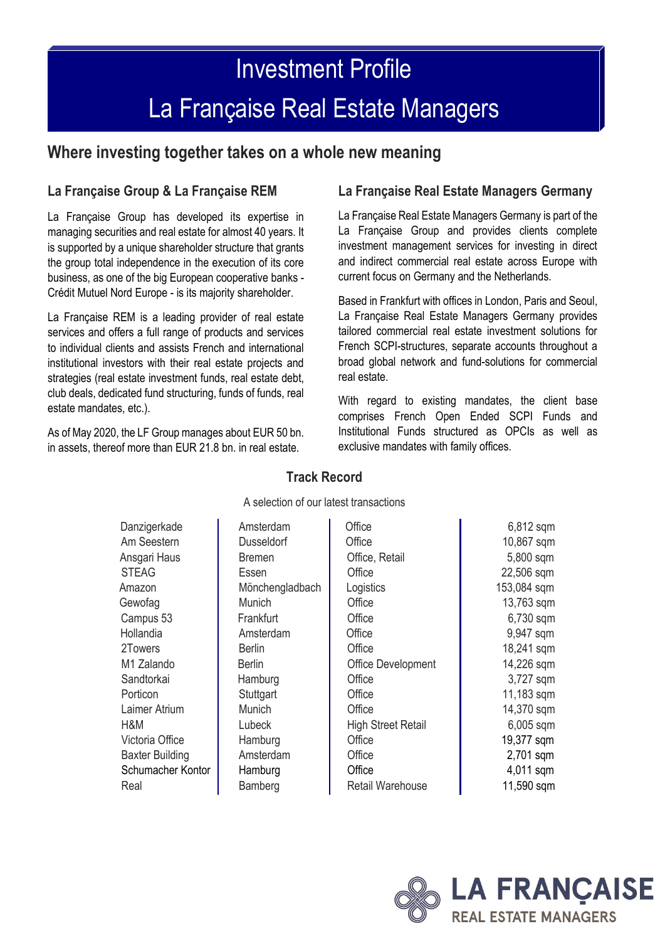# Investment Profile La Française Real Estate Managers

### **Where investing together takes on a whole new meaning**

#### **La Française Group & La Française REM**

La Française Group has developed its expertise in managing securities and real estate for almost 40 years. It is supported by a unique shareholder structure that grants the group total independence in the execution of its core business, as one of the big European cooperative banks - Crédit Mutuel Nord Europe - is its majority shareholder.

La Française REM is a leading provider of real estate services and offers a full range of products and services to individual clients and assists French and international institutional investors with their real estate projects and strategies (real estate investment funds, real estate debt, club deals, dedicated fund structuring, funds of funds, real estate mandates, etc.).

As of May 2020, the LF Group manages about EUR 50 bn. in assets, thereof more than EUR 21.8 bn. in real estate.

#### **La Française Real Estate Managers Germany**

La Française Real Estate Managers Germany is part of the La Française Group and provides clients complete investment management services for investing in direct and indirect commercial real estate across Europe with current focus on Germany and the Netherlands.

Based in Frankfurt with offices in London, Paris and Seoul, La Française Real Estate Managers Germany provides tailored commercial real estate investment solutions for French SCPI-structures, separate accounts throughout a broad global network and fund-solutions for commercial real estate.

With regard to existing mandates, the client base comprises French Open Ended SCPI Funds and Institutional Funds structured as OPCIs as well as exclusive mandates with family offices.

| A selection of our latest transactions |                        |                   |                           |             |  |
|----------------------------------------|------------------------|-------------------|---------------------------|-------------|--|
|                                        | Danzigerkade           | Amsterdam         | Office                    | 6,812 sqm   |  |
|                                        | Am Seestern            | <b>Dusseldorf</b> | Office                    | 10,867 sqm  |  |
|                                        | Ansgari Haus           | <b>Bremen</b>     | Office, Retail            | 5,800 sqm   |  |
|                                        | <b>STEAG</b>           | Essen             | Office                    | 22,506 sqm  |  |
|                                        | Amazon                 | Mönchengladbach   | Logistics                 | 153,084 sqm |  |
|                                        | Gewofag                | <b>Munich</b>     | Office                    | 13,763 sqm  |  |
|                                        | Campus 53              | Frankfurt         | Office                    | 6,730 sqm   |  |
|                                        | Hollandia              | Amsterdam         | Office                    | 9,947 sqm   |  |
|                                        | 2Towers                | <b>Berlin</b>     | Office                    | 18,241 sqm  |  |
|                                        | M1 Zalando             | <b>Berlin</b>     | <b>Office Development</b> | 14,226 sqm  |  |
|                                        | Sandtorkai             | Hamburg           | Office                    | 3,727 sqm   |  |
|                                        | Porticon               | Stuttgart         | Office                    | 11,183 sqm  |  |
|                                        | Laimer Atrium          | Munich            | Office                    | 14,370 sqm  |  |
|                                        | H&M                    | Lubeck            | <b>High Street Retail</b> | 6,005 sqm   |  |
|                                        | Victoria Office        | Hamburg           | Office                    | 19,377 sqm  |  |
|                                        | <b>Baxter Building</b> | Amsterdam         | Office                    | 2,701 sqm   |  |
|                                        | Schumacher Kontor      | Hamburg           | Office                    | 4,011 sqm   |  |
|                                        | Real                   | Bamberg           | <b>Retail Warehouse</b>   | 11,590 sqm  |  |
|                                        |                        |                   |                           |             |  |

#### **Track Record**